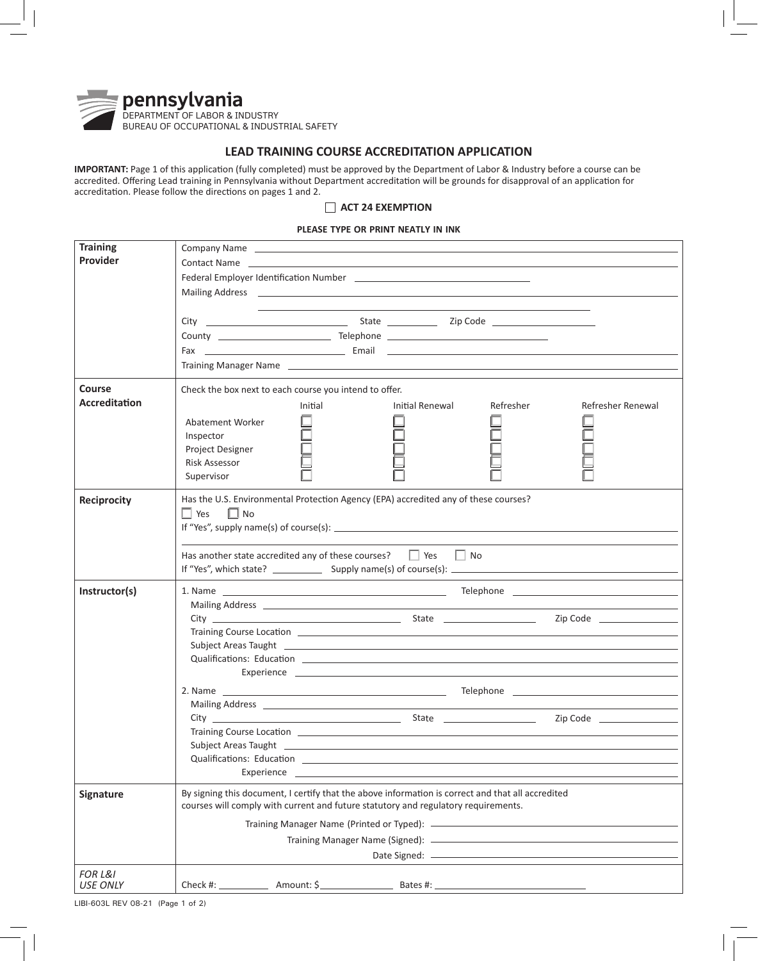

## **LEAD TRAINING COURSE ACCREDITATION APPLICATION**

**IMPORTANT:** Page 1 of this application (fully completed) must be approved by the Department of Labor & Industry before a course can be accredited. Offering Lead training in Pennsylvania without Department accreditation will be grounds for disapproval of an application for accreditation. Please follow the directions on pages 1 and 2.

## **ACT 24 EXEMPTION**

## **PLEASE TYPE OR PRINT NEATLY IN INK**

| <b>Training</b>                                                                                           | Company Name entertainment and the company Name entertainment and the company Name                                                                                                                                                  |                 |           |                   |  |
|-----------------------------------------------------------------------------------------------------------|-------------------------------------------------------------------------------------------------------------------------------------------------------------------------------------------------------------------------------------|-----------------|-----------|-------------------|--|
| Provider                                                                                                  | Contact Name <b>contact of the contact of the contact of the contact of the contact of the contact</b> of the contact of the contact of the contact of the contact of the contact of the contact of the contact of the contact of t |                 |           |                   |  |
|                                                                                                           |                                                                                                                                                                                                                                     |                 |           |                   |  |
|                                                                                                           | Mailing Address <b>Community Community Community</b> Community Community Community Community Community Community Community                                                                                                          |                 |           |                   |  |
|                                                                                                           |                                                                                                                                                                                                                                     |                 |           |                   |  |
|                                                                                                           |                                                                                                                                                                                                                                     |                 |           |                   |  |
|                                                                                                           |                                                                                                                                                                                                                                     |                 |           |                   |  |
|                                                                                                           |                                                                                                                                                                                                                                     |                 |           |                   |  |
|                                                                                                           |                                                                                                                                                                                                                                     |                 |           |                   |  |
|                                                                                                           | Training Manager Name 2020 2020 2020 2020 2020 2021 2022 2021 2022 2021 2022 2021 2022 2022 2023 2024 2022 20                                                                                                                       |                 |           |                   |  |
| Course                                                                                                    | Check the box next to each course you intend to offer.                                                                                                                                                                              |                 |           |                   |  |
| <b>Accreditation</b>                                                                                      | Initial                                                                                                                                                                                                                             | Initial Renewal | Refresher | Refresher Renewal |  |
|                                                                                                           |                                                                                                                                                                                                                                     |                 |           |                   |  |
|                                                                                                           | Abatement Worker                                                                                                                                                                                                                    |                 |           |                   |  |
|                                                                                                           | Inspector                                                                                                                                                                                                                           |                 |           |                   |  |
|                                                                                                           | Project Designer                                                                                                                                                                                                                    |                 |           |                   |  |
|                                                                                                           | <b>Risk Assessor</b>                                                                                                                                                                                                                |                 |           |                   |  |
|                                                                                                           | Supervisor                                                                                                                                                                                                                          |                 |           |                   |  |
| Has the U.S. Environmental Protection Agency (EPA) accredited any of these courses?<br><b>Reciprocity</b> |                                                                                                                                                                                                                                     |                 |           |                   |  |
|                                                                                                           | $\Box$ Yes $\Box$ No                                                                                                                                                                                                                |                 |           |                   |  |
|                                                                                                           |                                                                                                                                                                                                                                     |                 |           |                   |  |
|                                                                                                           |                                                                                                                                                                                                                                     |                 |           |                   |  |
|                                                                                                           |                                                                                                                                                                                                                                     |                 |           |                   |  |
|                                                                                                           | Has another state accredited any of these courses? $\Box$ Yes $\Box$ No                                                                                                                                                             |                 |           |                   |  |
|                                                                                                           |                                                                                                                                                                                                                                     |                 |           |                   |  |
| Instructor(s)                                                                                             |                                                                                                                                                                                                                                     |                 |           |                   |  |
|                                                                                                           |                                                                                                                                                                                                                                     |                 |           |                   |  |
|                                                                                                           |                                                                                                                                                                                                                                     |                 |           |                   |  |
|                                                                                                           | Training Course Location <b>Example 2018</b> and 2019 and 2019 and 2019 and 2019 and 2019 and 2019 and 2019 and 2019 and 2019 and 2019 and 2019 and 2019 and 2019 and 2019 and 2019 and 2019 and 2019 and 2019 and 2019 and 2019 an |                 |           |                   |  |
|                                                                                                           | Subject Areas Taught 2002 Contract and the contract of the contract of the contract of the contract of the contract of the contract of the contract of the contract of the contract of the contract of the contract of the con      |                 |           |                   |  |
|                                                                                                           | Qualifications: Education <b>Example 2018</b> and 2019 and 2019 and 2019 and 2019 and 2019 and 2019 and 2019 and 2019                                                                                                               |                 |           |                   |  |
|                                                                                                           |                                                                                                                                                                                                                                     |                 |           |                   |  |
|                                                                                                           |                                                                                                                                                                                                                                     |                 |           |                   |  |
|                                                                                                           |                                                                                                                                                                                                                                     |                 |           |                   |  |
|                                                                                                           |                                                                                                                                                                                                                                     |                 |           | Zip Code          |  |
|                                                                                                           |                                                                                                                                                                                                                                     |                 |           |                   |  |
|                                                                                                           | Subject Areas Taught                                                                                                                                                                                                                |                 |           |                   |  |
|                                                                                                           |                                                                                                                                                                                                                                     |                 |           |                   |  |
|                                                                                                           | Experience <b>Experience Experience</b>                                                                                                                                                                                             |                 |           |                   |  |
|                                                                                                           |                                                                                                                                                                                                                                     |                 |           |                   |  |
| Signature                                                                                                 | By signing this document, I certify that the above information is correct and that all accredited<br>courses will comply with current and future statutory and regulatory requirements.                                             |                 |           |                   |  |
|                                                                                                           |                                                                                                                                                                                                                                     |                 |           |                   |  |
|                                                                                                           |                                                                                                                                                                                                                                     |                 |           |                   |  |
|                                                                                                           |                                                                                                                                                                                                                                     |                 |           |                   |  |
|                                                                                                           |                                                                                                                                                                                                                                     |                 |           |                   |  |
| <b>FOR L&amp;I</b>                                                                                        |                                                                                                                                                                                                                                     |                 |           |                   |  |

LIBI-603L REV 08-21 (Page 1 of 2)